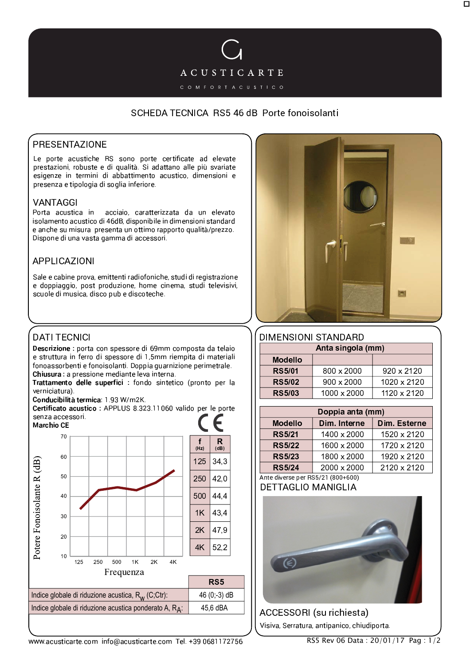

# SCHEDA TECNICA RS5 46 dB Porte fonoisolanti

# **PRESENTAZIONE**

Le porte acustiche RS sono porte certificate ad elevate prestazioni, robuste e di qualità. Si adattano alle più svariate esigenze in termini di abbattimento acustico, dimensioni e presenza e tipologia di soglia inferiore.

### **VANTAGGI**

Porta acustica in acciaio, caratterizzata da un elevato isolamento acustico di 46dB, disponibile in dimensioni standard e anche su misura presenta un ottimo rapporto qualità/prezzo. Dispone di una vasta gamma di accessori.

## APPLICAZIONI

Sale e cabine prova, emittenti radiofoniche, studi di registrazione e doppiaggio, post produzione, home cinema, studi televisivi, scuole di musica, disco pub e discoteche.

### **DATI TECNICI**

Descrizione : porta con spessore di 69mm composta da telaio e struttura in ferro di spessore di 1.5mm riempita di materiali fonoassorbenti e fonoisolanti. Doppia quarnizione perimetrale. Chiusura : a pressione mediante leva interna.

Trattamento delle superfici : fondo sintetico (pronto per la verniciatura).

Conducibilità termica: 1.93 W/m2K.

Certificato acustico : APPLUS 8.323.11060 valido per le porte senza accessori.





### **DIMENSIONI STANDARD**

| Anta singola (mm) |                   |             |
|-------------------|-------------------|-------------|
| <b>Modello</b>    |                   |             |
| <b>RS5/01</b>     | 800 x 2000        | 920 x 2120  |
| <b>RS5/02</b>     | $900 \times 2000$ | 1020 x 2120 |
| <b>RS5/03</b>     | 1000 x 2000       | 1120 x 2120 |

| Doppia anta (mm) |              |                     |
|------------------|--------------|---------------------|
| <b>Modello</b>   | Dim. Interne | <b>Dim. Esterne</b> |
| <b>RS5/21</b>    | 1400 x 2000  | 1520 x 2120         |
| <b>RS5/22</b>    | 1600 x 2000  | 1720 x 2120         |
| <b>RS5/23</b>    | 1800 x 2000  | 1920 x 2120         |
| <b>RS5/24</b>    | 2000 x 2000  | 2120 x 2120         |

#### Ante diverse per RS5/21 (800+600) **DETTAGLIO MANIGLIA**



**ACCESSORI** (su richiesta) Visiva, Serratura, antipanico, chiudiporta.